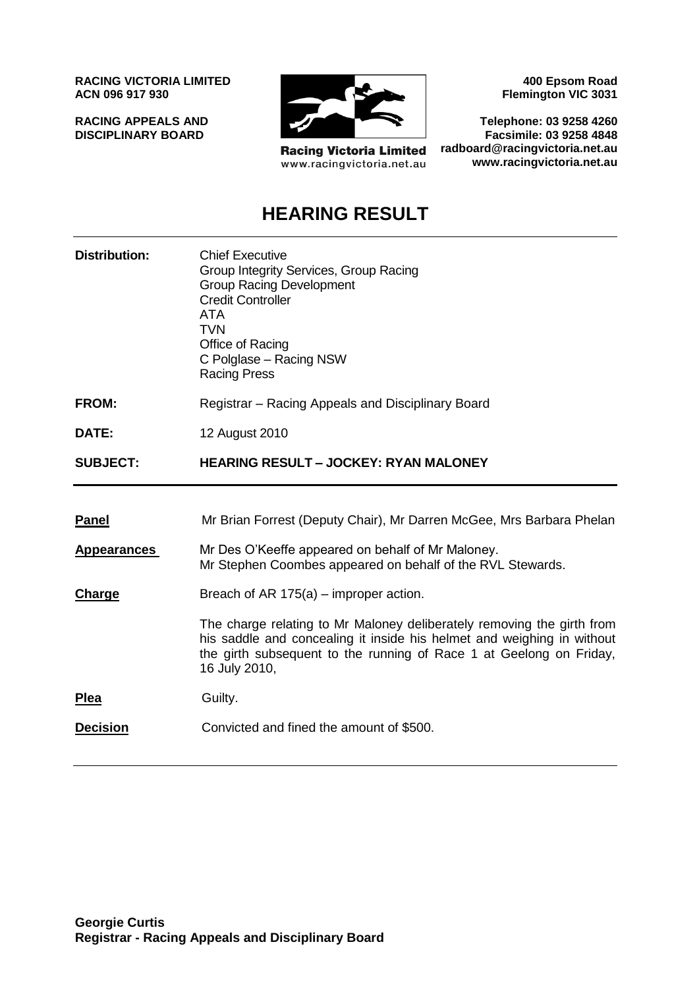**RACING VICTORIA LIMITED ACN 096 917 930**

**RACING APPEALS AND DISCIPLINARY BOARD**



**Racing Victoria Limited** www.racingvictoria.net.au

**400 Epsom Road Flemington VIC 3031**

**Telephone: 03 9258 4260 Facsimile: 03 9258 4848 radboard@racingvictoria.net.au www.racingvictoria.net.au**

# **HEARING RESULT**

| <b>Distribution:</b> | <b>Chief Executive</b><br>Group Integrity Services, Group Racing<br><b>Group Racing Development</b><br><b>Credit Controller</b><br><b>ATA</b><br><b>TVN</b><br>Office of Racing<br>C Polglase - Racing NSW<br><b>Racing Press</b>        |
|----------------------|------------------------------------------------------------------------------------------------------------------------------------------------------------------------------------------------------------------------------------------|
| <b>FROM:</b>         | Registrar – Racing Appeals and Disciplinary Board                                                                                                                                                                                        |
| DATE:                | 12 August 2010                                                                                                                                                                                                                           |
| <b>SUBJECT:</b>      | <b>HEARING RESULT - JOCKEY: RYAN MALONEY</b>                                                                                                                                                                                             |
|                      |                                                                                                                                                                                                                                          |
| <b>Panel</b>         | Mr Brian Forrest (Deputy Chair), Mr Darren McGee, Mrs Barbara Phelan                                                                                                                                                                     |
| <b>Appearances</b>   | Mr Des O'Keeffe appeared on behalf of Mr Maloney.<br>Mr Stephen Coombes appeared on behalf of the RVL Stewards.                                                                                                                          |
| Charge               | Breach of AR $175(a)$ – improper action.                                                                                                                                                                                                 |
|                      | The charge relating to Mr Maloney deliberately removing the girth from<br>his saddle and concealing it inside his helmet and weighing in without<br>the girth subsequent to the running of Race 1 at Geelong on Friday,<br>16 July 2010, |
| <b>Plea</b>          | Guilty.                                                                                                                                                                                                                                  |
| <b>Decision</b>      | Convicted and fined the amount of \$500.                                                                                                                                                                                                 |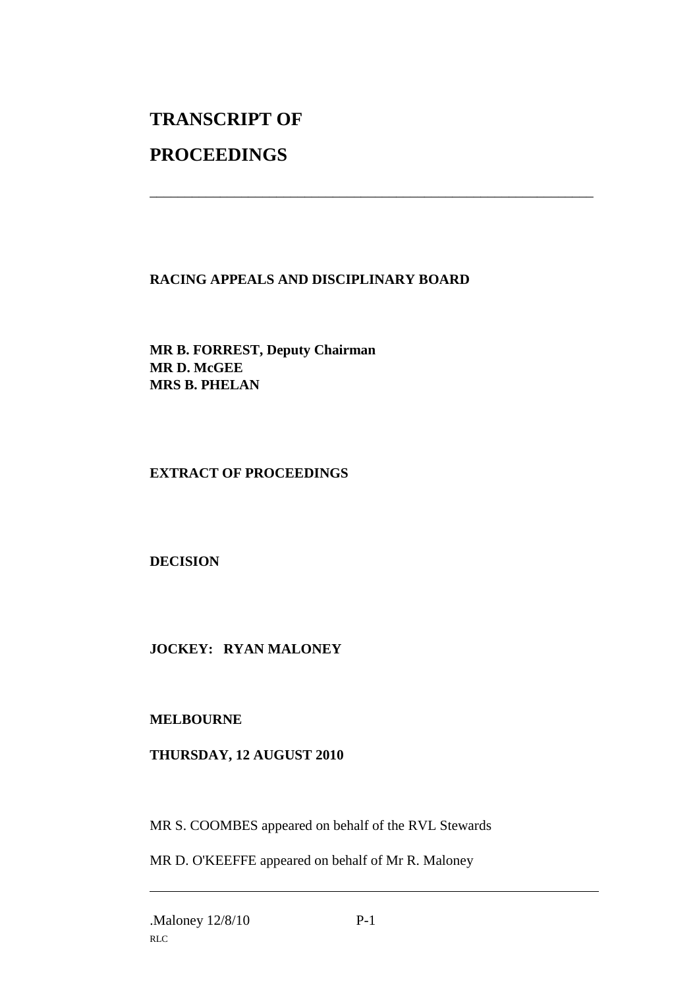# **TRANSCRIPT OF**

## **PROCEEDINGS**

## **RACING APPEALS AND DISCIPLINARY BOARD**

\_\_\_\_\_\_\_\_\_\_\_\_\_\_\_\_\_\_\_\_\_\_\_\_\_\_\_\_\_\_\_\_\_\_\_\_\_\_\_\_\_\_\_\_\_\_\_\_\_\_\_\_\_\_\_\_\_\_\_\_\_\_\_

**MR B. FORREST, Deputy Chairman MR D. McGEE MRS B. PHELAN**

### **EXTRACT OF PROCEEDINGS**

### **DECISION**

### **JOCKEY: RYAN MALONEY**

#### **MELBOURNE**

#### **THURSDAY, 12 AUGUST 2010**

MR S. COOMBES appeared on behalf of the RVL Stewards

MR D. O'KEEFFE appeared on behalf of Mr R. Maloney